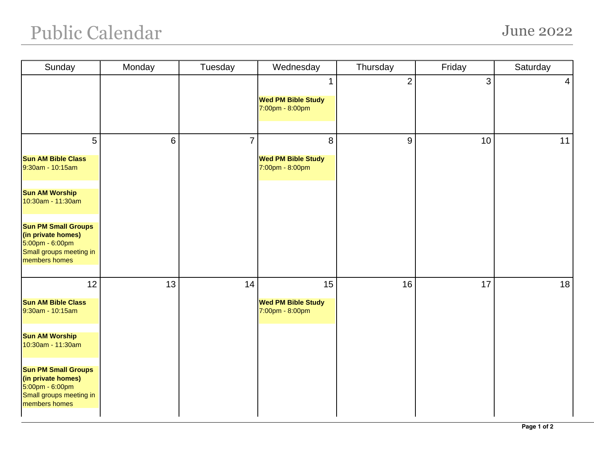## Public Calendar June 2022

| Sunday                                                                                                          | Monday | Tuesday        | Wednesday                                         | Thursday       | Friday | Saturday        |
|-----------------------------------------------------------------------------------------------------------------|--------|----------------|---------------------------------------------------|----------------|--------|-----------------|
|                                                                                                                 |        |                | 1<br><b>Wed PM Bible Study</b><br>7:00pm - 8:00pm | $\overline{2}$ | 3      | $\vert 4 \vert$ |
| 5                                                                                                               | 6      | $\overline{7}$ | 8                                                 | 9              | 10     | 11              |
| <b>Sun AM Bible Class</b><br>9:30am - 10:15am                                                                   |        |                | <b>Wed PM Bible Study</b><br>7:00pm - 8:00pm      |                |        |                 |
| <b>Sun AM Worship</b><br>10:30am - 11:30am                                                                      |        |                |                                                   |                |        |                 |
| <b>Sun PM Small Groups</b><br>(in private homes)<br>5:00pm - 6:00pm<br>Small groups meeting in<br>members homes |        |                |                                                   |                |        |                 |
| 12                                                                                                              | 13     | 14             | 15                                                | 16             | 17     | 18              |
| <b>Sun AM Bible Class</b><br>9:30am - 10:15am                                                                   |        |                | <b>Wed PM Bible Study</b><br>7:00pm - 8:00pm      |                |        |                 |
| <b>Sun AM Worship</b><br>10:30am - 11:30am                                                                      |        |                |                                                   |                |        |                 |
| <b>Sun PM Small Groups</b><br>(in private homes)<br>5:00pm - 6:00pm<br>Small groups meeting in<br>members homes |        |                |                                                   |                |        |                 |